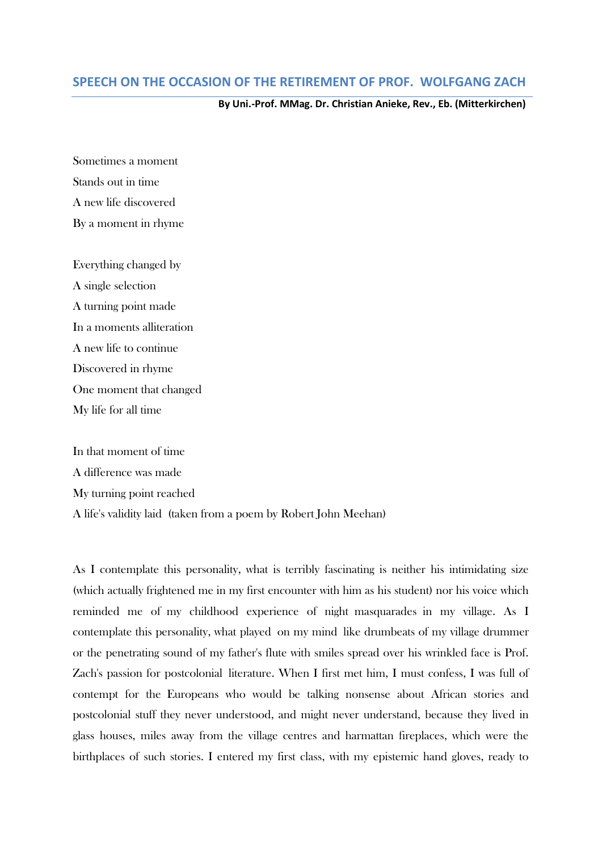## **SPEECH ON THE OCCASION OF THE RETIREMENT OF PROF. WOLFGANG ZACH**

## **By Uni.-Prof. MMag. Dr. Christian Anieke, Rev., Eb. (Mitterkirchen)**

Sometimes a moment Stands out in time A new life discovered By a moment in rhyme

Everything changed by A single selection A turning point made In a moments alliteration A new life to continue Discovered in rhyme One moment that changed My life for all time

In that moment of time A difference was made My turning point reached A life's validity laid (taken from a poem by Robert John Meehan)

As I contemplate this personality, what is terribly fascinating is neither his intimidating size (which actually frightened me in my first encounter with him as his student) nor his voice which reminded me of my childhood experience of night masquarades in my village. As I contemplate this personality, what played on my mind like drumbeats of my village drummer or the penetrating sound of my father's flute with smiles spread over his wrinkled face is Prof. Zach's passion for postcolonial literature. When I first met him, I must confess, I was full of contempt for the Europeans who would be talking nonsense about African stories and postcolonial stuff they never understood, and might never understand, because they lived in glass houses, miles away from the village centres and harmattan fireplaces, which were the birthplaces of such stories. I entered my first class, with my epistemic hand gloves, ready to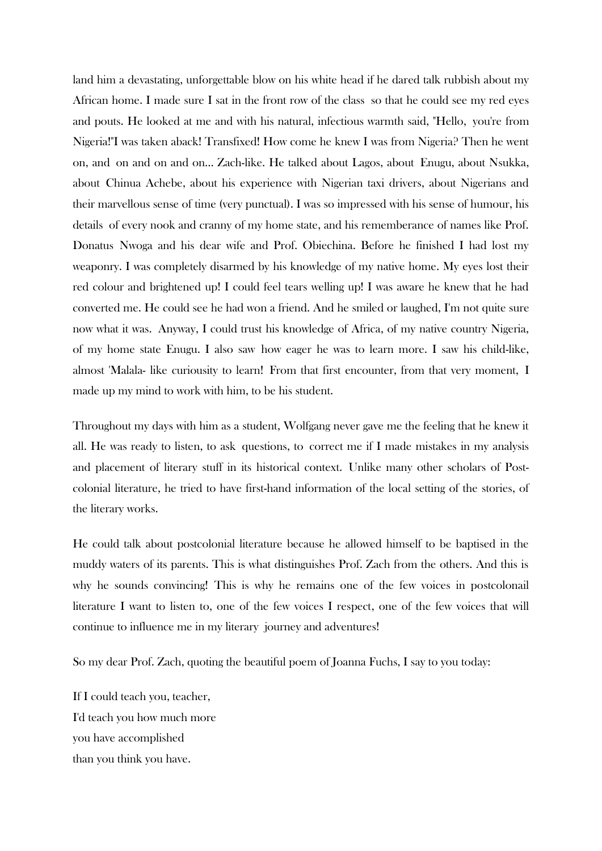land him a devastating, unforgettable blow on his white head if he dared talk rubbish about my African home. I made sure I sat in the front row of the class so that he could see my red eyes and pouts. He looked at me and with his natural, infectious warmth said, "Hello, you're from Nigeria!"I was taken aback! Transfixed! How come he knew I was from Nigeria? Then he went on, and on and on and on... Zach-like. He talked about Lagos, about Enugu, about Nsukka, about Chinua Achebe, about his experience with Nigerian taxi drivers, about Nigerians and their marvellous sense of time (very punctual). I was so impressed with his sense of humour, his details of every nook and cranny of my home state, and his rememberance of names like Prof. Donatus Nwoga and his dear wife and Prof. Obiechina. Before he finished I had lost my weaponry. I was completely disarmed by his knowledge of my native home. My eyes lost their red colour and brightened up! I could feel tears welling up! I was aware he knew that he had converted me. He could see he had won a friend. And he smiled or laughed, I'm not quite sure now what it was. Anyway, I could trust his knowledge of Africa, of my native country Nigeria, of my home state Enugu. I also saw how eager he was to learn more. I saw his child-like, almost 'Malala- like curiousity to learn! From that first encounter, from that very moment, I made up my mind to work with him, to be his student.

Throughout my days with him as a student, Wolfgang never gave me the feeling that he knew it all. He was ready to listen, to ask questions, to correct me if I made mistakes in my analysis and placement of literary stuff in its historical context. Unlike many other scholars of Postcolonial literature, he tried to have first-hand information of the local setting of the stories, of the literary works.

He could talk about postcolonial literature because he allowed himself to be baptised in the muddy waters of its parents. This is what distinguishes Prof. Zach from the others. And this is why he sounds convincing! This is why he remains one of the few voices in postcolonail literature I want to listen to, one of the few voices I respect, one of the few voices that will continue to influence me in my literary journey and adventures!

So my dear Prof. Zach, quoting the beautiful poem of Joanna Fuchs, I say to you today:

If I could teach you, teacher, I'd teach you how much more you have accomplished than you think you have.